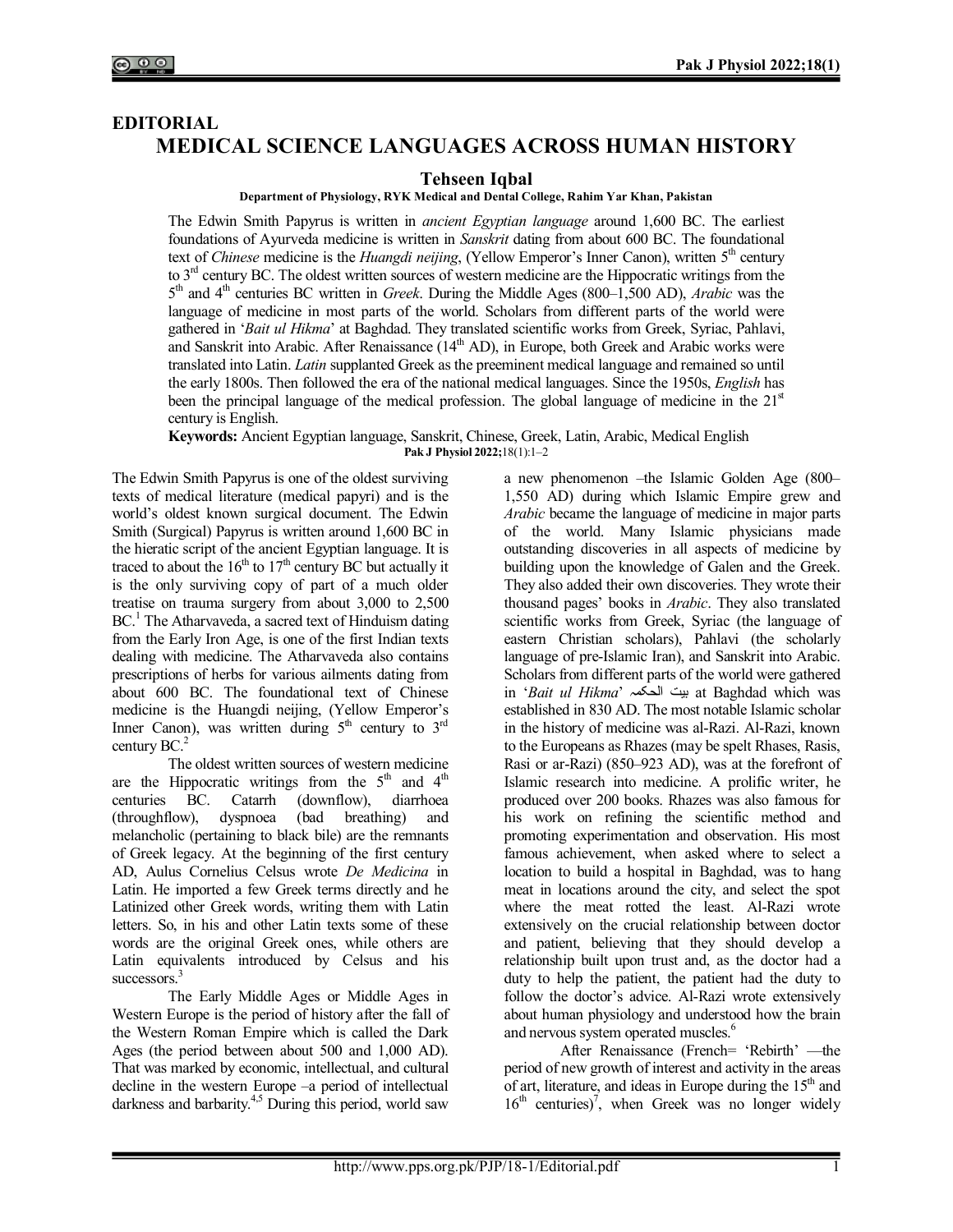## **EDITORIAL MEDICAL SCIENCE LANGUAGES ACROSS HUMAN HISTORY**

## **Tehseen Iqbal**

**Department of Physiology, RYK Medical and Dental College, Rahim Yar Khan, Pakistan**

The Edwin Smith Papyrus is written in *ancient Egyptian language* around 1,600 BC. The earliest foundations of Ayurveda medicine is written in *Sanskrit* dating from about 600 BC. The foundational text of *Chinese* medicine is the *Huangdi neijing*, (Yellow Emperor's Inner Canon), written 5<sup>th</sup> century to  $3<sup>rd</sup>$  century BC. The oldest written sources of western medicine are the Hippocratic writings from the 5<sup>th</sup> and 4<sup>th</sup> centuries BC written in *Greek*. During the Middle Ages (800–1,500 AD), *Arabic* was the language of medicine in most parts of the world. Scholars from different parts of the world were gathered in '*Bait ul Hikma*' at Baghdad. They translated scientific works from Greek, Syriac, Pahlavi, and Sanskrit into Arabic. After Renaissance (14<sup>th</sup> AD), in Europe, both Greek and Arabic works were translated into Latin. *Latin* supplanted Greek as the preeminent medical language and remained so until the early 1800s. Then followed the era of the national medical languages. Since the 1950s, *English* has been the principal language of the medical profession. The global language of medicine in the  $21<sup>st</sup>$ century is English.

**Keywords:** Ancient Egyptian language, Sanskrit, Chinese, Greek, Latin, Arabic, Medical English **Pak J Physiol 2022;**18(1):1‒2

The Edwin Smith Papyrus is one of the oldest surviving texts of medical literature (medical papyri) and is the world's oldest known surgical document. The Edwin Smith (Surgical) Papyrus is written around 1,600 BC in the hieratic script of the ancient Egyptian language. It is traced to about the  $16<sup>th</sup>$  to  $17<sup>th</sup>$  century BC but actually it is the only surviving copy of part of a much older treatise on trauma surgery from about 3,000 to 2,500 BC.<sup>1</sup> The Atharvaveda, a sacred text of Hinduism dating from the Early Iron Age, is one of the first Indian texts dealing with medicine. The Atharvaveda also contains prescriptions of herbs for various ailments dating from about 600 BC. The foundational text of Chinese medicine is the Huangdi neijing, (Yellow Emperor's Inner Canon), was written during  $5<sup>th</sup>$  century to  $3<sup>rd</sup>$ century BC.<sup>2</sup>

The oldest written sources of western medicine are the Hippocratic writings from the  $5<sup>th</sup>$  and  $4<sup>th</sup>$ centuries BC. Catarrh (downflow), diarrhoea (throughflow), dyspnoea (bad breathing) and melancholic (pertaining to black bile) are the remnants of Greek legacy. At the beginning of the first century AD, Aulus Cornelius Celsus wrote *De Medicina* in Latin. He imported a few Greek terms directly and he Latinized other Greek words, writing them with Latin letters. So, in his and other Latin texts some of these words are the original Greek ones, while others are Latin equivalents introduced by Celsus and his successors.<sup>3</sup>

The Early Middle Ages or Middle Ages in Western Europe is the period of history after the fall of the Western Roman Empire which is called the Dark Ages (the period between about 500 and 1,000 AD). That was marked by economic, intellectual, and cultural decline in the western Europe -a period of intellectual darkness and barbarity.<sup>4,5</sup> During this period, world saw

a new phenomenon -the Islamic Golden Age (800-1,550 AD) during which Islamic Empire grew and *Arabic* became the language of medicine in major parts of the world. Many Islamic physicians made outstanding discoveries in all aspects of medicine by building upon the knowledge of Galen and the Greek. They also added their own discoveries. They wrote their thousand pages' books in *Arabic*. They also translated scientific works from Greek, Syriac (the language of eastern Christian scholars), Pahlavi (the scholarly language of pre-Islamic Iran), and Sanskrit into Arabic. Scholars from different parts of the world were gathered in '*Bait ul Hikma*' الحکمہ بیت at Baghdad which was established in 830 AD. The most notable Islamic scholar in the history of medicine was al-Razi. Al-Razi, known to the Europeans as Rhazes (may be spelt Rhases, Rasis, Rasi or ar-Razi) (850–923 AD), was at the forefront of Islamic research into medicine. A prolific writer, he produced over 200 books. Rhazes was also famous for his work on refining the scientific method and promoting experimentation and observation. His most famous achievement, when asked where to select a location to build a hospital in Baghdad, was to hang meat in locations around the city, and select the spot where the meat rotted the least. Al-Razi wrote extensively on the crucial relationship between doctor and patient, believing that they should develop a relationship built upon trust and, as the doctor had a duty to help the patient, the patient had the duty to follow the doctor's advice. Al-Razi wrote extensively about human physiology and understood how the brain and nervous system operated muscles.<sup>6</sup>

After Renaissance (French= 'Rebirth' —the period of new growth of interest and activity in the areas of art, literature, and ideas in Europe during the  $15<sup>th</sup>$  and  $16<sup>th</sup>$  centuries)<sup>7</sup>, when Greek was no longer widely